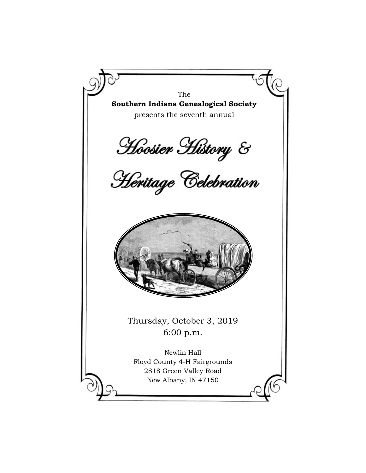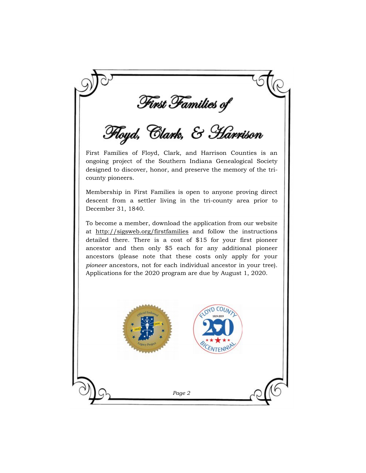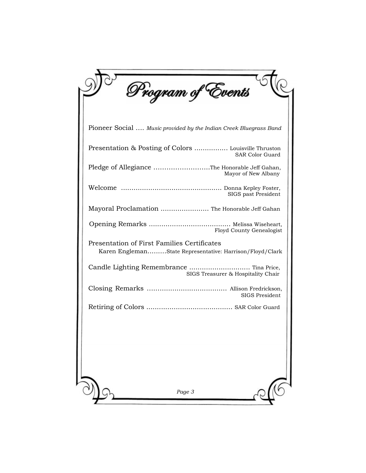| Program of Events                                                                                       |
|---------------------------------------------------------------------------------------------------------|
| Pioneer Social  Music provided by the Indian Creek Bluegrass Band                                       |
| Presentation & Posting of Colors  Louisville Thruston<br><b>SAR Color Guard</b>                         |
| Pledge of Allegiance The Honorable Jeff Gahan,<br>Mayor of New Albany                                   |
| SIGS past President                                                                                     |
| Mayoral Proclamation  The Honorable Jeff Gahan                                                          |
| Floyd County Genealogist                                                                                |
| Presentation of First Families Certificates<br>Karen EnglemanState Representative: Harrison/Floyd/Clark |
| Candle Lighting Remembrance  Tina Price,<br>SIGS Treasurer & Hospitality Chair                          |
| <b>SIGS President</b>                                                                                   |
|                                                                                                         |
|                                                                                                         |
| Page 3                                                                                                  |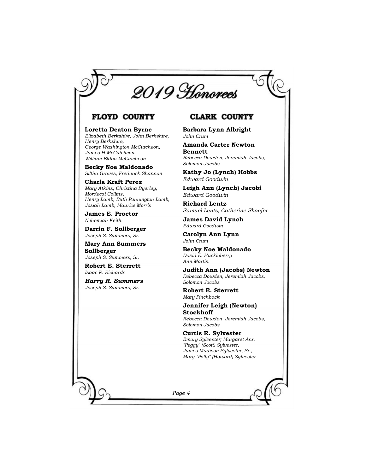

### **FLOYD COUNTY**

**Loretta Deaton Byrne**  *Elizabeth Berkshire, John Berkshire, Henry Berkshire, George Washington McCutcheon, James H McCutcheon William Eldon McCutcheon* 

**Becky Noe Maldonado**  *Siltha Graves, Frederick Shannon* 

**Charla Kraft Perez** *Mary Atkins, Christina Byerley, Mordecai Collins, Henry Lamb, Ruth Pennington Lamb, Josiah Lamb, Maurice Morris* 

**James E. Proctor**  *Nehemiah Keith* 

**Darrin F. Sollberger** *Joseph S. Summers, Sr.* 

**Mary Ann Summers Sollberger** *Joseph S. Summers, Sr.* 

**Robert E. Sterrett**  *Isaac R. Richards* 

*Harry R. Summers Joseph S. Summers, Sr.*

# **CLARK COUNTY**

**Barbara Lynn Albright**  *John Crum* 

**Amanda Carter Newton Bennett**  *Rebecca Dowden, Jeremiah Jacobs, Solomon Jacobs* 

**Kathy Jo (Lynch) Hobbs** *Edward Goodwin*

**Leigh Ann (Lynch) Jacobi** *Edward Goodwin*

**Richard Lentz** *Samuel Lentz, Catherine Shaefer*

**James David Lynch** *Edward Goodwin*

**Carolyn Ann Lynn** *John Crum* 

**Becky Noe Maldonado** *David E. Huckleberry Ann Martin*

**Judith Ann (Jacobs) Newton** *Rebecca Dowden, Jeremiah Jacobs, Solomon Jacobs*

**Robert E. Sterrett** *Mary Pinchback* 

**Jennifer Leigh (Newton) Stockhoff** *Rebecca Dowden, Jeremiah Jacobs, Solomon Jacobs* 

**Curtis R. Sylvester** *Emory Sylvester; Margaret Ann "Peggy" (Scott) Sylvester, James Madison Sylvester, Sr., Mary "Polly" (Howard) Sylvester*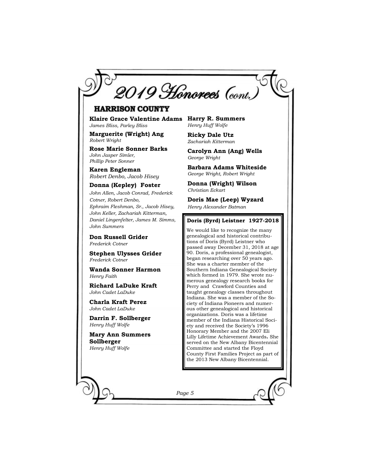

# **HARRISON COUNTY**

**Klaire Grace Valentine Adams Harry R. Summers** *James Bliss, Parley Bliss*

**Marguerite (Wright) Ang**  *Robert Wright* 

**Rose Marie Sonner Barks**  *John Jasper Simler, Phillip Peter Sonner* 

**Karen Engleman** *Robert Denbo, Jacob Hisey*

#### **Donna (Kepley) Foster**

*John Allen, Jacob Conrad, Frederick Cotner, Robert Denbo, Ephraim Fleshman, Sr., Jacob Hisey, John Keller, Zachariah Kitterman, Daniel Lingenfelter, James M. Simms, John Summers* 

**Don Russell Grider** *Frederick Cotner* 

**Stephen Ulysses Grider** *Frederick Cotner* 

**Wanda Sonner Harmon**  *Henry Faith*

**Richard LaDuke Kraft**  *John Cadet LaDuke* 

**Charla Kraft Perez**  *John Cadet LaDuke*

**Darrin F. Sollberger** *Henry Huff Wolfe* 

**Mary Ann Summers Sollberger** *Henry Huff Wolfe* 

*Henry Huff Wolfe* 

**Ricky Dale Utz** *Zachariah Kitterman* 

**Carolyn Ann (Ang) Wells**  *George Wright* 

**Barbara Adams Whiteside** *George Wright, Robert Wright* 

**Donna (Wright) Wilson** *Christian Eckart* 

**Doris Mae (Leep) Wyzard** *Henry Alexander Batman* 

#### **Doris (Byrd) Leistner 1927-2018**

We would like to recognize the many genealogical and historical contributions of Doris (Byrd) Leistner who passed away December 31, 2018 at age 90. Doris, a professional genealogist, began researching over 50 years ago. She was a charter member of the Southern Indiana Genealogical Society which formed in 1979. She wrote numerous genealogy research books for Perry and Crawford Counties and taught genealogy classes throughout Indiana. She was a member of the Society of Indiana Pioneers and numerous other genealogical and historical organizations. Doris was a lifetime member of the Indiana Historical Society and received the Society's 1996 Honorary Member and the 2007 Eli Lilly Lifetime Achievement Awards**.** She served on the New Albany Bicentennial Committee and started the Floyd County First Families Project as part of the 2013 New Albany Bicentennial.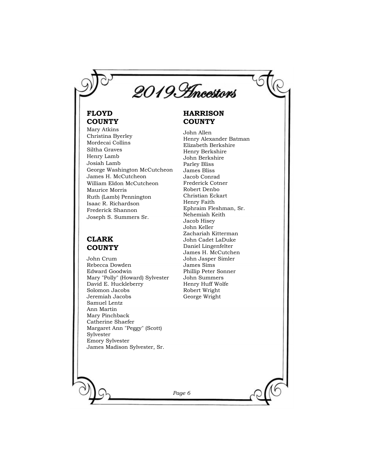

# **FLOYD COUNTY**

Mary Atkins Christina Byerley Mordecai Collins Siltha Graves Henry Lamb Josiah Lamb George Washington McCutcheon James H. McCutcheon William Eldon McCutcheon Maurice Morris Ruth (Lamb) Pennington Isaac R. Richardson Frederick Shannon Joseph S. Summers Sr.

# **CLARK COUNTY**

John Crum Rebecca Dowden Edward Goodwin Mary "Polly" (Howard) Sylvester David E. Huckleberry Solomon Jacobs Jeremiah Jacobs Samuel Lentz Ann Martin Mary Pinchback Catherine Shaefer Margaret Ann "Peggy" (Scott) Sylvester Emory Sylvester James Madison Sylvester, Sr.

# **HARRISON COUNTY**

John Allen Henry Alexander Batman Elizabeth Berkshire Henry Berkshire John Berkshire Parley Bliss James Bliss Jacob Conrad Frederick Cotner Robert Denbo Christian Eckart Henry Faith Ephraim Fleshman, Sr. Nehemiah Keith Jacob Hisey John Keller Zachariah Kitterman John Cadet LaDuke Daniel Lingenfelter James H. McCutchen John Jasper Simler James Sims Phillip Peter Sonner John Summers Henry Huff Wolfe Robert Wright George Wright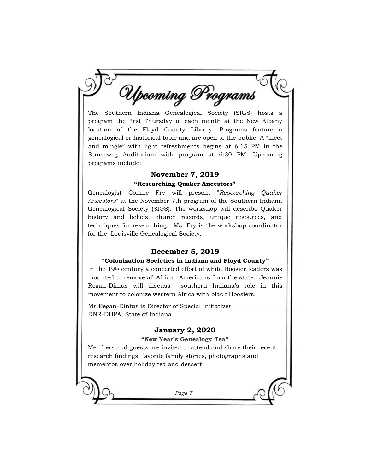Upcoming Programs

The Southern Indiana Genealogical Society (SIGS) hosts a program the first Thursday of each month at the New Albany location of the Floyd County Library. Programs feature a genealogical or historical topic and are open to the public. A "meet and mingle" with light refreshments begins at 6:15 PM in the Strassweg Auditorium with program at 6:30 PM. Upcoming programs include:

### **November 7, 2019**

### **"Researching Quaker Ancestors"**

Genealogist Connie Fry will present "*Researching Quaker Ancestors*" at the November 7th program of the Southern Indiana Genealogical Society (SIGS). The workshop will describe Quaker history and beliefs, church records, unique resources, and techniques for researching. Ms. Fry is the workshop coordinator for the Louisville Genealogical Society.

# **December 5, 2019**

### **"Colonization Societies in Indiana and Floyd County"**

In the 19th century a concerted effort of white Hoosier leaders was mounted to remove all African Americans from the state. Jeannie Regan-Dinius will discuss southern Indiana's role in this movement to colonize western Africa with black Hoosiers.

Ms Regan-Dinius is Director of Special Initiatives DNR-DHPA, State of Indiana

## **January 2, 2020**

### **"New Year's Genealogy Tea"**

Members and guests are invited to attend and share their recent research findings, favorite family stories, photographs and mementos over holiday tea and dessert.